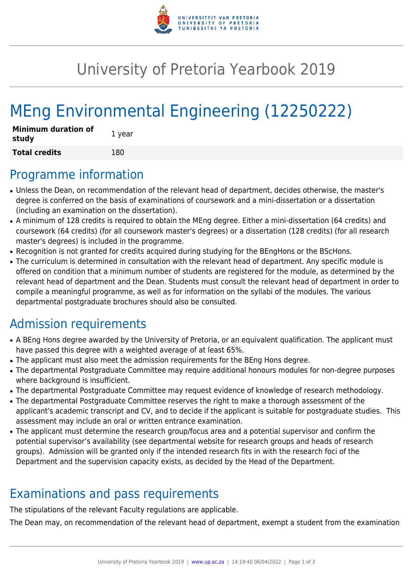

## University of Pretoria Yearbook 2019

# MEng Environmental Engineering (12250222)

| <b>Minimum duration of</b><br>study | 1 year |
|-------------------------------------|--------|
| <b>Total credits</b>                | 180    |

#### Programme information

- Unless the Dean, on recommendation of the relevant head of department, decides otherwise, the master's degree is conferred on the basis of examinations of coursework and a mini-dissertation or a dissertation (including an examination on the dissertation).
- A minimum of 128 credits is required to obtain the MEng degree. Either a mini-dissertation (64 credits) and coursework (64 credits) (for all coursework master's degrees) or a dissertation (128 credits) (for all research master's degrees) is included in the programme.
- Recognition is not granted for credits acquired during studying for the BEngHons or the BScHons.
- The curriculum is determined in consultation with the relevant head of department. Any specific module is offered on condition that a minimum number of students are registered for the module, as determined by the relevant head of department and the Dean. Students must consult the relevant head of department in order to compile a meaningful programme, as well as for information on the syllabi of the modules. The various departmental postgraduate brochures should also be consulted.

### Admission requirements

- A BEng Hons degree awarded by the University of Pretoria, or an equivalent qualification. The applicant must have passed this degree with a weighted average of at least 65%.
- The applicant must also meet the admission requirements for the BEng Hons degree.
- The departmental Postgraduate Committee may require additional honours modules for non-degree purposes where background is insufficient.
- The departmental Postgraduate Committee may request evidence of knowledge of research methodology.
- The departmental Postgraduate Committee reserves the right to make a thorough assessment of the applicant's academic transcript and CV, and to decide if the applicant is suitable for postgraduate studies. This assessment may include an oral or written entrance examination.
- The applicant must determine the research group/focus area and a potential supervisor and confirm the potential supervisor's availability (see departmental website for research groups and heads of research groups). Admission will be granted only if the intended research fits in with the research foci of the Department and the supervision capacity exists, as decided by the Head of the Department.

#### Examinations and pass requirements

The stipulations of the relevant Faculty regulations are applicable.

The Dean may, on recommendation of the relevant head of department, exempt a student from the examination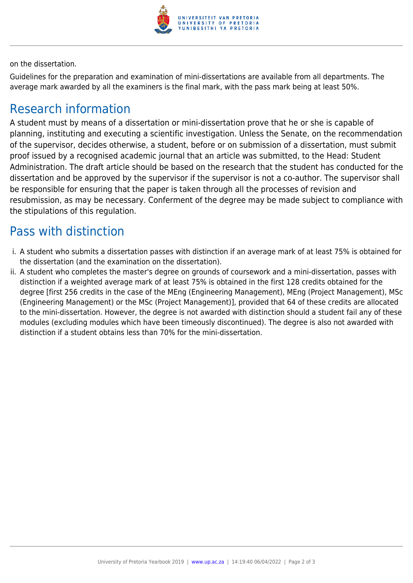

on the dissertation.

Guidelines for the preparation and examination of mini-dissertations are available from all departments. The average mark awarded by all the examiners is the final mark, with the pass mark being at least 50%.

#### Research information

A student must by means of a dissertation or mini-dissertation prove that he or she is capable of planning, instituting and executing a scientific investigation. Unless the Senate, on the recommendation of the supervisor, decides otherwise, a student, before or on submission of a dissertation, must submit proof issued by a recognised academic journal that an article was submitted, to the Head: Student Administration. The draft article should be based on the research that the student has conducted for the dissertation and be approved by the supervisor if the supervisor is not a co-author. The supervisor shall be responsible for ensuring that the paper is taken through all the processes of revision and resubmission, as may be necessary. Conferment of the degree may be made subject to compliance with the stipulations of this regulation.

#### Pass with distinction

- i. A student who submits a dissertation passes with distinction if an average mark of at least 75% is obtained for the dissertation (and the examination on the dissertation).
- ii. A student who completes the master's degree on grounds of coursework and a mini-dissertation, passes with distinction if a weighted average mark of at least 75% is obtained in the first 128 credits obtained for the degree [first 256 credits in the case of the MEng (Engineering Management), MEng (Project Management), MSc (Engineering Management) or the MSc (Project Management)], provided that 64 of these credits are allocated to the mini-dissertation. However, the degree is not awarded with distinction should a student fail any of these modules (excluding modules which have been timeously discontinued). The degree is also not awarded with distinction if a student obtains less than 70% for the mini-dissertation.